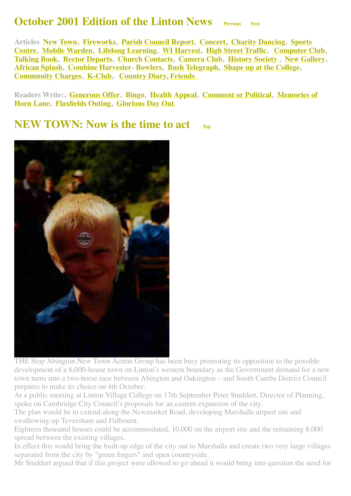#### **October 2001 Edition of the Linton News Previous** [Next](http://www.linton.info/lintonnews/0111.html)

<span id="page-0-1"></span>**Articles [New Town,](#page-0-0) [Fireworks](#page-1-0), [Parish Council Report](#page-2-0), [Concert,](#page-2-1) [Charity Dancing,](#page-2-2) Sports [Centre, Mobile Warden, Lifelong Learning, WI Harvest, High Street Traffic, Computer](#page-3-0) [Club](#page-6-0), [Talking Book,](#page-6-1) [Rector Departs](#page-7-0), [Church Contacts](#page-7-1), [Camera Club](#page-7-2), [History Society ,](#page-8-0) [New Gallery,](#page-8-1) [African Splash,](#page-9-0) [Combine Harvester](#page-9-1)- [Bowlers,](#page-10-0) [Bush Telegraph,](#page-10-1) [Shape up at the College,](#page-11-0) [Community Charges,](#page-11-1) [K-Club](#page-11-2), [Country Diary,](#page-11-3) [Friends](#page-12-0)** 

**[Readers Write:, Generous Offer, Bingo, Health Appeal, Comment or Political, Memories of](#page-5-0) Horn Lane, [Flaxfields Outing](#page-5-2), [Glorious Day Out](#page-5-3)** 

#### <span id="page-0-0"></span>**NEW TOWN: Now is the time to act**



THE Stop Abington New Town Action Group has been busy promoting its opposition to the possible development of a 6,000-house town on Linton's western boundary as the Government demand for a new town turns into a two-horse race between Abington and Oakington – and South Cambs District Council prepares to make its choice on 4th October.

At a public meeting at Linton Village College on 17th September Peter Studdert, Director of Planning, spoke on Cambridge City Council's proposals for an eastern expansion of the city.

The plan would be to extend along the Newmarket Road, developing Marshalls airport site and swallowing-up Teversham and Fulbourn.

Eighteen thousand houses could be accommodated, 10,000 on the airport site and the remaining 8,000 spread between the existing villages.

In effect this would bring the built-up edge of the city out to Marshalls and create two very large villages separated from the city by "green fingers" and open countryside.

Mr Studdert argued that if this project were allowed to go ahead it would bring into question the need for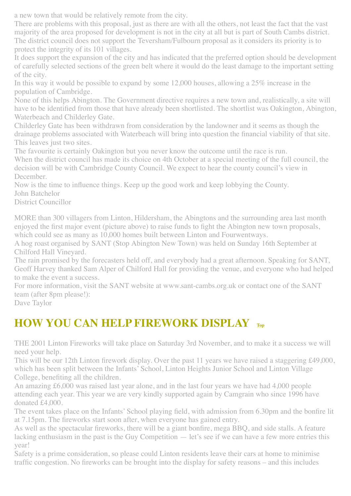a new town that would be relatively remote from the city.

There are problems with this proposal, just as there are with all the others, not least the fact that the vast majority of the area proposed for development is not in the city at all but is part of South Cambs district. The district council does not support the Teversham/Fulbourn proposal as it considers its priority is to protect the integrity of its 101 villages.

It does support the expansion of the city and has indicated that the preferred option should be development of carefully selected sections of the green belt where it would do the least damage to the important setting of the city.

In this way it would be possible to expand by some 12,000 houses, allowing a 25% increase in the population of Cambridge.

None of this helps Abington. The Government directive requires a new town and, realistically, a site will have to be identified from those that have already been shortlisted. The shortlist was Oakington, Abington, Waterbeach and Childerley Gate.

Childerley Gate has been withdrawn from consideration by the landowner and it seems as though the drainage problems associated with Waterbeach will bring into question the financial viability of that site. This leaves just two sites.

The favourite is certainly Oakington but you never know the outcome until the race is run.

When the district council has made its choice on 4th October at a special meeting of the full council, the decision will be with Cambridge County Council. We expect to hear the county council's view in December.

Now is the time to influence things. Keep up the good work and keep lobbying the County. John Batchelor

District Councillor

MORE than 300 villagers from Linton, Hildersham, the Abingtons and the surrounding area last month enjoyed the first major event (picture above) to raise funds to fight the Abington new town proposals, which could see as many as 10,000 homes built between Linton and Fourwentways.

A hog roast organised by SANT (Stop Abington New Town) was held on Sunday 16th September at Chilford Hall Vineyard.

The rain promised by the forecasters held off, and everybody had a great afternoon. Speaking for SANT, Geoff Harvey thanked Sam Alper of Chilford Hall for providing the venue, and everyone who had helped to make the event a success.

For more information, visit the SANT website at www.sant-cambs.org.uk or contact one of the SANT team (after 8pm please!):

Dave Taylor

# <span id="page-1-0"></span>**HOW YOU CAN HELP FIREWORK DISPLAY [Top](#page-0-1)**

THE 2001 Linton Fireworks will take place on Saturday 3rd November, and to make it a success we will need your help.

This will be our 12th Linton firework display. Over the past 11 years we have raised a staggering £49,000, which has been split between the Infants' School, Linton Heights Junior School and Linton Village College, benefiting all the children.

An amazing £6,000 was raised last year alone, and in the last four years we have had 4,000 people attending each year. This year we are very kindly supported again by Camgrain who since 1996 have donated £4,000.

The event takes place on the Infants' School playing field, with admission from 6.30pm and the bonfire lit at 7.15pm. The fireworks start soon after, when everyone has gained entry.

As well as the spectacular fireworks, there will be a giant bonfire, mega BBQ, and side stalls. A feature lacking enthusiasm in the past is the Guy Competition — let's see if we can have a few more entries this year!

Safety is a prime consideration, so please could Linton residents leave their cars at home to minimise traffic congestion. No fireworks can be brought into the display for safety reasons – and this includes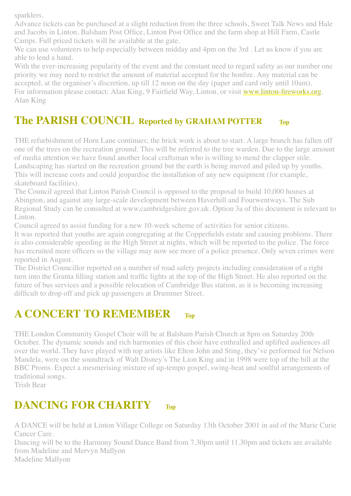sparklers.

Advance tickets can be purchased at a slight reduction from the three schools, Sweet Talk News and Hale and Jacobs in Linton, Balsham Post Office, Linton Post Office and the farm shop at Hill Farm, Castle Camps. Full priced tickets will be available at the gate.

We can use volunteers to help especially between midday and 4pm on the 3rd. Let us know if you are able to lend a hand.

With the ever-increasing popularity of the event and the constant need to regard safety as our number one priority we may need to restrict the amount of material accepted for the bonfire. Any material can be accepted, at the organiser's discretion, up till 12 noon on the day (paper and card only until 10am). For information please contact: Alan King, 9 Fairfield Way, Linton, or visit [www.linton-fireworks.org](http://www.linton-fireworks.org/). Alan King

### <span id="page-2-0"></span>**The PARISH COUNCIL Reported by GRAHAM POTTER [Top](#page-0-1)**

THE refurbishment of Horn Lane continues; the brick work is about to start. A large branch has fallen off one of the trees on the recreation ground. This will be referred to the tree warden. Due to the large amount of media attention we have found another local craftsman who is willing to mend the clapper stile. Landscaping has started on the recreation ground but the earth is being moved and piled up by youths. This will increase costs and could jeopardise the installation of any new equipment (for example, skateboard facilities).

The Council agreed that Linton Parish Council is opposed to the proposal to build 10,000 houses at Abington, and against any large-scale development between Haverhill and Fourwentways. The Sub Regional Study can be consulted at www.cambridgeshire.gov.uk. Option 3a of this document is relevant to Linton.

Council agreed to assist funding for a new 10-week scheme of activities for senior citizens.

It was reported that youths are again congregating at the Copperfields estate and causing problems. There is also considerable speeding in the High Street at nights, which will be reported to the police. The force has recruited more officers so the village may now see more of a police presence. Only seven crimes were reported in August.

The District Councillor reported on a number of road safety projects including consideration of a right turn into the Granta filling station and traffic lights at the top of the High Street. He also reported on the future of bus services and a possible relocation of Cambridge Bus station, as it is becoming increasing difficult to drop off and pick up passengers at Drummer Street.

## <span id="page-2-1"></span>**A CONCERT TO REMEMBER [Top](#page-0-1)**

THE London Community Gospel Choir will be at Balsham Parish Church at 8pm on Saturday 20th October. The dynamic sounds and rich harmonies of this choir have enthralled and uplifted audiences all over the world. They have played with top artists like Elton John and Sting, they've performed for Nelson Mandela, were on the soundtrack of Walt Disney's The Lion King and in 1998 were top of the bill at the BBC Proms. Expect a mesmerising mixture of up-tempo gospel, swing-beat and soulful arrangements of traditional songs.

Trish Bear

## <span id="page-2-2"></span>**DANCING FOR CHARITY [Top](#page-0-1)**

A DANCE will be held at Linton Village College on Saturday 13th October 2001 in aid of the Marie Curie Cancer Care.

Dancing will be to the Harmony Sound Dance Band from 7.30pm until 11.30pm and tickets are available from Madeline and Mervyn Mallyon Madeline Mallyon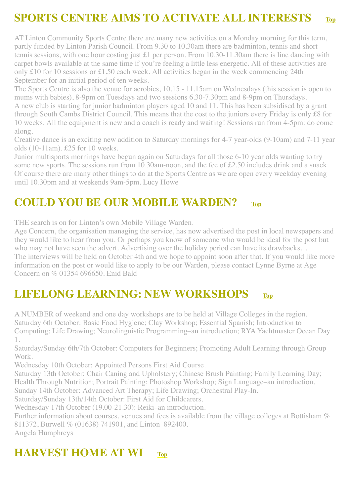# <span id="page-3-0"></span>**SPORTS CENTRE AIMS TO ACTIVATE ALL INTERESTS [Top](#page-0-1)**

AT Linton Community Sports Centre there are many new activities on a Monday morning for this term, partly funded by Linton Parish Council. From 9.30 to 10.30am there are badminton, tennis and short tennis sessions, with one hour costing just £1 per person. From 10.30-11.30am there is line dancing with carpet bowls available at the same time if you're feeling a little less energetic. All of these activities are only £10 for 10 sessions or £1.50 each week. All activities began in the week commencing 24th September for an initial period of ten weeks.

The Sports Centre is also the venue for aerobics, 10.15 - 11.15am on Wednesdays (this session is open to mums with babies), 8-9pm on Tuesdays and two sessions 6.30-7.30pm and 8-9pm on Thursdays. A new club is starting for junior badminton players aged 10 and 11. This has been subsidised by a grant through South Cambs District Council. This means that the cost to the juniors every Friday is only £8 for 10 weeks. All the equipment is new and a coach is ready and waiting! Sessions run from 4-5pm: do come along.

Creative dance is an exciting new addition to Saturday mornings for 4-7 year-olds (9-10am) and 7-11 year olds (10-11am). £25 for 10 weeks.

Junior multisports mornings have begun again on Saturdays for all those 6-10 year olds wanting to try some new sports. The sessions run from 10.30am-noon, and the fee of £2.50 includes drink and a snack. Of course there are many other things to do at the Sports Centre as we are open every weekday evening until 10.30pm and at weekends 9am-5pm. Lucy Howe

### <span id="page-3-1"></span>**COULD YOU BE OUR MOBILE WARDEN? [Top](#page-0-1)**

THE search is on for Linton's own Mobile Village Warden.

Age Concern, the organisation managing the service, has now advertised the post in local newspapers and they would like to hear from you. Or perhaps you know of someone who would be ideal for the post but who may not have seen the advert. Advertising over the holiday period can have its drawbacks… The interviews will be held on October 4th and we hope to appoint soon after that. If you would like more information on the post or would like to apply to be our Warden, please contact Lynne Byrne at Age Concern on % 01354 696650. Enid Bald

### <span id="page-3-2"></span>**LIFELONG LEARNING: NEW WORKSHOPS [Top](#page-0-1)**

A NUMBER of weekend and one day workshops are to be held at Village Colleges in the region. Saturday 6th October: Basic Food Hygiene; Clay Workshop; Essential Spanish; Introduction to Computing; Life Drawing; Neurolinguistic Programming–an introduction; RYA Yachtmaster Ocean Day 1.

Saturday/Sunday 6th/7th October: Computers for Beginners; Promoting Adult Learning through Group Work.

Wednesday 10th October: Appointed Persons First Aid Course.

Saturday 13th October: Chair Caning and Upholstery; Chinese Brush Painting; Family Learning Day; Health Through Nutrition; Portrait Painting; Photoshop Workshop; Sign Language–an introduction.

Sunday 14th October: Advanced Art Therapy; Life Drawing; Orchestral Play-In.

Saturday/Sunday 13th/14th October: First Aid for Childcarers.

Wednesday 17th October (19.00-21.30): Reiki–an introduction.

Further information about courses, venues and fees is available from the village colleges at Bottisham % 811372, Burwell % (01638) 741901, and Linton 892400.

Angela Humphreys

## **HARVEST HOME AT WI** [Top](#page-0-1)

<span id="page-3-3"></span>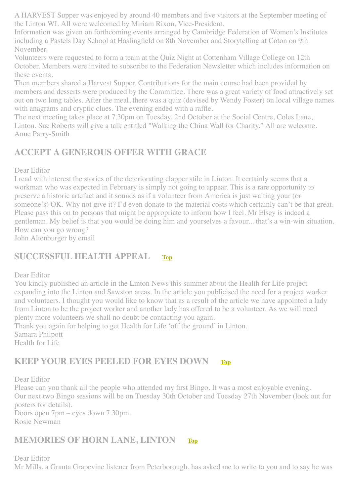A HARVEST Supper was enjoyed by around 40 members and five visitors at the September meeting of the Linton WI. All were welcomed by Miriam Rixon, Vice-President.

Information was given on forthcoming events arranged by Cambridge Federation of Women's Institutes including a Pastels Day School at Haslingfield on 8th November and Storytelling at Coton on 9th November.

Volunteers were requested to form a team at the Quiz Night at Cottenham Village College on 12th October. Members were invited to subscribe to the Federation Newsletter which includes information on these events.

Then members shared a Harvest Supper. Contributions for the main course had been provided by members and desserts were produced by the Committee. There was a great variety of food attractively set out on two long tables. After the meal, there was a quiz (devised by Wendy Foster) on local village names with anagrams and cryptic clues. The evening ended with a raffle.

The next meeting takes place at 7.30pm on Tuesday, 2nd October at the Social Centre, Coles Lane, Linton. Sue Roberts will give a talk entitled "Walking the China Wall for Charity." All are welcome. Anne Parry-Smith

#### <span id="page-4-0"></span>**ACCEPT A GENEROUS OFFER WITH GRACE**

Dear Editor

I read with interest the stories of the deteriorating clapper stile in Linton. It certainly seems that a workman who was expected in February is simply not going to appear. This is a rare opportunity to preserve a historic artefact and it sounds as if a volunteer from America is just waiting your (or someone's) OK. Why not give it? I'd even donate to the material costs which certainly can't be that great. Please pass this on to persons that might be appropriate to inform how I feel. Mr Elsey is indeed a gentleman. My belief is that you would be doing him and yourselves a favour... that's a win-win situation. How can you go wrong?

John Altenburger by email

#### <span id="page-4-2"></span>**SUCCESSFUL HEALTH APPEAL [Top](#page-0-1)**

Dear Editor

You kindly published an article in the Linton News this summer about the Health for Life project expanding into the Linton and Sawston areas. In the article you publicised the need for a project worker and volunteers. I thought you would like to know that as a result of the article we have appointed a lady from Linton to be the project worker and another lady has offered to be a volunteer. As we will need plenty more volunteers we shall no doubt be contacting you again.

Thank you again for helping to get Health for Life 'off the ground' in Linton.

Samara Philpott Health for Life

#### <span id="page-4-1"></span>**KEEP YOUR EYES PEELED FOR EYES DOWN [Top](#page-0-1)**

Dear Editor

Please can you thank all the people who attended my first Bingo. It was a most enjoyable evening. Our next two Bingo sessions will be on Tuesday 30th October and Tuesday 27th November (look out for posters for details).

Doors open 7pm – eyes down 7.30pm. Rosie Newman

#### **MEMORIES OF HORN LANE, LINTON [Top](#page-0-1)**

Dear Editor Mr Mills, a Granta Grapevine listener from Peterborough, has asked me to write to you and to say he was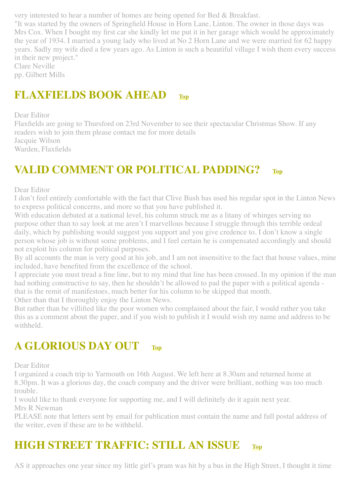very interested to hear a number of homes are being opened for Bed & Breakfast.

"It was started by the owners of Springfield House in Horn Lane, Linton. The owner in those days was Mrs Cox. When I bought my first car she kindly let me put it in her garage which would be approximately the year of 1934. I married a young lady who lived at No 2 Horn Lane and we were married for 62 happy years. Sadly my wife died a few years ago. As Linton is such a beautiful village I wish them every success in their new project."

Clare Neville pp. Gilbert Mills

### <span id="page-5-2"></span>**FLAXFIELDS BOOK AHEAD [Top](#page-0-1)**

Dear Editor

Flaxfields are going to Thursford on 23rd November to see their spectacular Christmas Show. If any readers wish to join them please contact me for more details Jacquie Wilson Warden, Flaxfields

# <span id="page-5-1"></span>**VALID COMMENT OR POLITICAL PADDING? [Top](#page-0-1)**

Dear Editor

I don't feel entirely comfortable with the fact that Clive Bush has used his regular spot in the Linton News to express political concerns, and more so that you have published it.

With education debated at a national level, his column struck me as a litany of whinges serving no purpose other than to say look at me aren't I marvellous because I struggle through this terrible ordeal daily, which by publishing would suggest you support and you give credence to. I don't know a single person whose job is without some problems, and I feel certain he is compensated accordingly and should not exploit his column for political purposes.

By all accounts the man is very good at his job, and I am not insensitive to the fact that house values, mine included, have benefited from the excellence of the school.

I appreciate you must tread a fine line, but to my mind that line has been crossed. In my opinion if the man had nothing constructive to say, then he shouldn't be allowed to pad the paper with a political agenda that is the remit of manifestoes, much better for his column to be skipped that month.

Other than that I thoroughly enjoy the Linton News.

But rather than be villified like the poor women who complained about the fair, I would rather you take this as a comment about the paper, and if you wish to publish it I would wish my name and address to be withheld.

# <span id="page-5-3"></span>**A GLORIOUS DAY OUT [Top](#page-0-1)**

Dear Editor

I organized a coach trip to Yarmouth on 16th August. We left here at 8.30am and returned home at 8.30pm. It was a glorious day, the coach company and the driver were brilliant, nothing was too much trouble.

I would like to thank everyone for supporting me, and I will definitely do it again next year. Mrs R Newman

PLEASE note that letters sent by email for publication must contain the name and full postal address of the writer, even if these are to be withheld.

# <span id="page-5-0"></span>**HIGH STREET TRAFFIC: STILL AN ISSUE [Top](#page-0-1)**

AS it approaches one year since my little girl's pram was hit by a bus in the High Street, I thought it time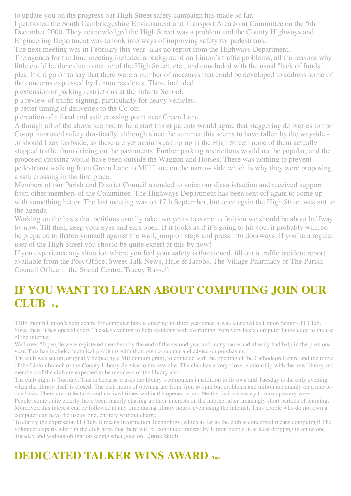to update you on the progress our High Street safety campaign has made so far.

I petitioned the South Cambridgeshire Environment and Transport Area Joint Committee on the 5th December 2000. They acknowledged the High Street was a problem and the County Highways and Engineering Department was to look into ways of improving safety for pedestrians.

The next meeting was in February this year -alas no report from the Highways Department.

The agenda for the June meeting included a background on Linton's traffic problems, all the reasons why little could be done due to nature of the High Street, etc., and concluded with the usual "lack of funds" plea. It did go on to say that there were a number of measures that could be developed to address some of

the concerns expressed by Linton residents. These included:

p extension of parking restrictions at the Infants School;

p a review of traffic signing, particularly for heavy vehicles;

p better timing of deliveries to the Co-op;

p creation of a focal and safe crossing point near Green Lane.

Although all of the above seemed to be a start (most parents would agree that staggering deliveries to the Co-op improved safety drastically, although since the summer this seems to have fallen by the wayside or should I say kerbside, as these are yet again breaking up in the High Street) none of them actually stopped traffic from driving on the pavements. Further parking restrictions would not be popular, and the proposed crossing would have been outside the Waggon and Horses. There was nothing to prevent pedestrians walking from Green Lane to Mill Lane on the narrow side which is why they were proposing a safe crossing in the first place.

Members of our Parish and District Council attended to voice our dissatisfaction and received support from other members of the Committee. The Highways Department has been sent off again to come up with something better. The last meeting was on 17th September, but once again the High Street was not on the agenda.

Working on the basis that petitions usually take two years to come to fruition we should be about halfway by now. Till then, keep your eyes and ears open. If it looks as if it's going to hit you, it probably will, so be prepared to flatten yourself against the wall, jump on steps and press into doorways. If you're a regular user of the High Street you should be quite expert at this by now!

If you experience any situation where you feel your safety is threatened, fill out a traffic incident report available from the Post Office, Sweet Talk News, Hale & Jacobs, The Village Pharmacy or The Parish Council Office in the Social Centre. Tracey Russell

## <span id="page-6-0"></span>**IF YOU WANT TO LEARN ABOUT COMPUTING JOIN OUR CLUB [Top](#page-0-1)**

THIS month Linton's help centre for computer fans is entering its third year since it was launched as Linton Seniors IT Club. Since then, it has opened every Tuesday evening to help residents with everything from very basic computer knowledge to the use of the internet.

Well over 50 people were registered members by the end of the second year and many more had already had help in the previous year. This has included technical problems with their own computer and advice on purchasing.

The club was set up, originally helped by a Millennium grant, to coincide with the opening of the Cathodeon Centre and the move of the Linton branch of the County Library Service to the new site. The club has a very close relationship with the new library and members of the club are expected to be members of the library also.

The club night is Tuesday. This is because it uses the library's computers in addition to its own and Tuesday is the only evening when the library itself is closed. The club hours of opening are from 7pm to 9pm but problems and tuition are mainly on a one-toone basis. There are no lectures and no fixed times within the opened hours. Neither is it necessary to turn up every week.

People, some quite elderly, have been eagerly chasing up their interests on the internet after amazingly short periods of learning. Moreover, this interest can be followed at any time during library hours, even using the internet. Thus people who do not own a computer can have the use of one, entirely without charge.

To clarify the expression IT Club, it means Information Technology, which as far as the club is concerned means computing! The volunteer experts who run the club hope that there will be continued interest by Linton people in at least dropping in on us one Tuesday and without obligation seeing what goes on. Derek Birch

# <span id="page-6-1"></span>**DEDICATED TALKER WINS AWARD [Top](#page-0-1)**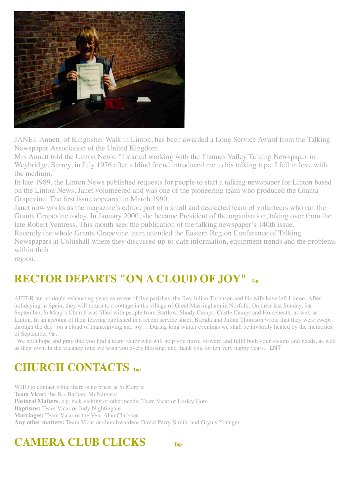

JANET Annett, of Kingfisher Walk in Linton, has been awarded a Long Service Award from the Talking Newspaper Association of the United Kingdom.

Mrs Annett told the Linton News: "I started working with the Thames Valley Talking Newspaper in Weybridge, Surrey, in July 1976 after a blind friend introduced me to his talking tape. I fell in love with the medium."

In late 1989, the Linton News published requests for people to start a talking newspaper for Linton based on the Linton News. Janet volunteered and was one of the pioneering team who produced the Granta Grapevine. The first issue appeared in March 1990.

Janet now works as the magazine's editor, part of a small and dedicated team of volunteers who run the Granta Grapevine today. In January 2000, she became President of the organisation, taking over from the late Robert Ventress. This month sees the publication of the talking newspaper's 140th issue. Recently the whole Granta Grapevine team attended the Eastern Region Conference of Talking Newspapers at Coltishall where they discussed up-to-date information, equipment trends and the problems within their

region.

# <span id="page-7-0"></span>**RECTOR DEPARTS "ON A CLOUD OF JOY" [Top](#page-0-1)**

AFTER ten no doubt exhausting years as rector of five parishes, the Rev Julian Thomson and his wife have left Linton. After holidaying in Spain, they will return to a cottage in the village of Great Massingham in Norfolk. On their last Sunday, 9th September, St Mary's Church was filled with people from Bartlow, Shudy Camps, Castle Camps and Horseheath, as well as Linton. In an account of their leaving published in a recent service sheet, Brenda and Julian Thomson wrote that they were swept through the day "on a cloud of thanksgiving and joy… During long winter evenings we shall be inwardly heated by the memories of September 9th.

"We both hope and pray that you find a team rector who will help you move forward and fulfil both your visions and needs, as well as their own. In the vacancy time we wish you every blessing, and thank you for ten very happy years." LNT

## <span id="page-7-1"></span>**CHURCH CONTACTS [Top](#page-0-1)**

WHO to contact while there is no priest at St Mary's: **Team Vicar:** the Rev Barbara McNamara: **Pastoral Matters**, e.g. sick visiting or other needs: Team Vicar or Lesley Gore **Baptisms:** Team Vicar or Judy Nightingale **Marriages:** Team Vicar or the Ven. Alan Clarkson **Any other matters:** Team Vicar or churchwardens David Parry-Smith and Glynis Younger

# <span id="page-7-2"></span>**CAMERA CLUB CLICKS [Top](#page-0-1)**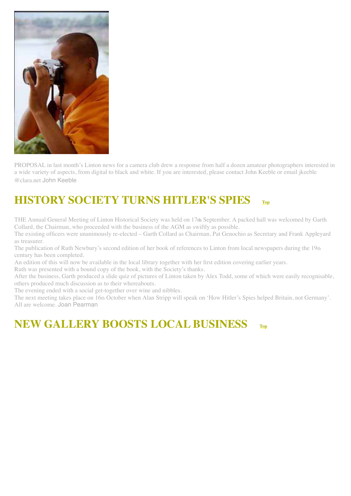

PROPOSAL in last month's Linton news for a camera club drew a response from half a dozen amateur photographers interested in a wide variety of aspects, from digital to black and white. If you are interested, please contact John Keeble or email jkeeble @clara.net John Keeble

# <span id="page-8-0"></span>**HISTORY SOCIETY TURNS HITLER'S SPIES [Top](#page-0-1)**

THE Annual General Meeting of Linton Historical Society was held on 17**th** September. A packed hall was welcomed by Garth Collard, the Chairman, who proceeded with the business of the AGM as swiftly as possible.

The existing officers were unanimously re-elected – Garth Collard as Chairman, Pat Genochio as Secretary and Frank Appleyard as treasurer.

The publication of Ruth Newbury's second edition of her book of references to Linton from local newspapers during the 19th century has been completed.

An edition of this will now be available in the local library together with her first edition covering earlier years.

Ruth was presented with a bound copy of the book, with the Society's thanks.

After the business, Garth produced a slide quiz of pictures of Linton taken by Alex Todd, some of which were easily recognisable, others produced much discussion as to their whereabouts.

The evening ended with a social get-together over wine and nibbles.

The next meeting takes place on 16th October when Alan Stripp will speak on 'How Hitler's Spies helped Britain, not Germany'. All are welcome. Joan Pearman

### <span id="page-8-1"></span>**NEW GALLERY BOOSTS LOCAL BUSINESS [Top](#page-0-1)**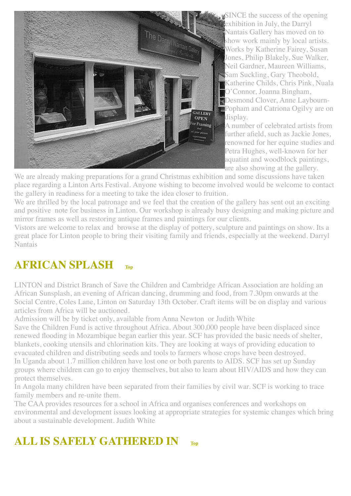

**SINCE** the success of the opening exhibition in July, the Darryl Nantais Gallery has moved on to show work mainly by local artists. Works by Katherine Fairey, Susan Jones, Philip Blakely, Sue Walker, Neil Gardner, Maureen Williams, Sam Suckling, Gary Theobold, Katherine Childs, Chris Pink, Nuala O'Connor, Joanna Bingham, Desmond Clover, Anne Laybourn-**Popham and Catriona Ogily are on** display.

A number of celebrated artists from further afield, such as Jackie Jones, renowned for her equine studies and Petra Hughes, well-known for her aquatint and woodblock paintings, are also showing at the gallery.

We are already making preparations for a grand Christmas exhibition and some discussions have taken place regarding a Linton Arts Festival. Anyone wishing to become involved would be welcome to contact the gallery in readiness for a meeting to take the idea closer to fruition.

We are thrilled by the local patronage and we feel that the creation of the gallery has sent out an exciting and positive note for business in Linton. Our workshop is already busy designing and making picture and mirror frames as well as restoring antique frames and paintings for our clients.

Vistors are welcome to relax and browse at the display of pottery, sculpture and paintings on show. Its a great place for Linton people to bring their visiting family and friends, especially at the weekend. Darryl Nantais

## <span id="page-9-0"></span>**AFRICAN SPLASH [Top](#page-0-1)**

LINTON and District Branch of Save the Children and Cambridge African Association are holding an African Sunsplash, an evening of African dancing, drumming and food, from 7.30pm onwards at the Social Centre, Coles Lane, Linton on Saturday 13th October. Craft items will be on display and various articles from Africa will be auctioned.

Admission will be by ticket only, available from Anna Newton or Judith White

Save the Children Fund is active throughout Africa. About 300,000 people have been displaced since renewed flooding in Mozambique began earlier this year. SCF has provided the basic needs of shelter, blankets, cooking utensils and chlorination kits. They are looking at ways of providing education to evacuated children and distributing seeds and tools to farmers whose crops have been destroyed. In Uganda about 1.7 million children have lost one or both parents to AIDS. SCF has set up Sunday groups where children can go to enjoy themselves, but also to learn about HIV/AIDS and how they can protect themselves.

In Angola many children have been separated from their families by civil war. SCF is working to trace family members and re-unite them.

The CAA provides resources for a school in Africa and organises conferences and workshops on environmental and development issues looking at appropriate strategies for systemic changes which bring about a sustainable development. Judith White

# <span id="page-9-1"></span>**ALL IS SAFELY GATHERED IN [Top](#page-0-1)**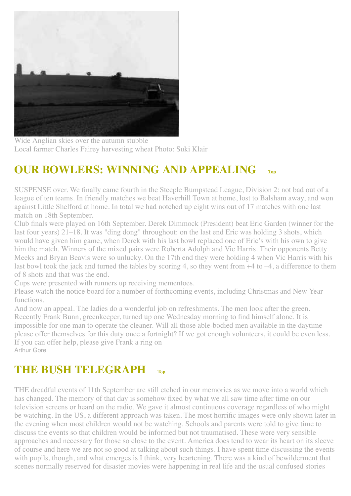

Wide Anglian skies over the autumn stubble Local farmer Charles Fairey harvesting wheat Photo: Suki Klair

# <span id="page-10-0"></span>**OUR BOWLERS: WINNING AND APPEALING [Top](#page-0-1)**

SUSPENSE over. We finally came fourth in the Steeple Bumpstead League, Division 2: not bad out of a league of ten teams. In friendly matches we beat Haverhill Town at home, lost to Balsham away, and won against Little Shelford at home. In total we had notched up eight wins out of 17 matches with one last match on 18th September.

Club finals were played on 16th September. Derek Dimmock (President) beat Eric Garden (winner for the last four years) 21–18. It was "ding dong" throughout: on the last end Eric was holding 3 shots, which would have given him game, when Derek with his last bowl replaced one of Eric's with his own to give him the match. Winners of the mixed pairs were Roberta Adolph and Vic Harris. Their opponents Betty Meeks and Bryan Beavis were so unlucky. On the 17th end they were holding 4 when Vic Harris with his last bowl took the jack and turned the tables by scoring 4, so they went from  $+4$  to  $-4$ , a difference to them of 8 shots and that was the end.

Cups were presented with runners up receiving mementoes.

Please watch the notice board for a number of forthcoming events, including Christmas and New Year functions.

And now an appeal. The ladies do a wonderful job on refreshments. The men look after the green. Recently Frank Bunn, greenkeeper, turned up one Wednesday morning to find himself alone. It is impossible for one man to operate the cleaner. Will all those able-bodied men available in the daytime please offer themselves for this duty once a fortnight? If we got enough volunteers, it could be even less. If you can offer help, please give Frank a ring on Arthur Gore

## <span id="page-10-1"></span>**THE BUSH TELEGRAPH [Top](#page-0-1)**

THE dreadful events of 11th September are still etched in our memories as we move into a world which has changed. The memory of that day is somehow fixed by what we all saw time after time on our television screens or heard on the radio. We gave it almost continuous coverage regardless of who might be watching. In the US, a different approach was taken. The most horrific images were only shown later in the evening when most children would not be watching. Schools and parents were told to give time to discuss the events so that children would be informed but not traumatised. These were very sensible approaches and necessary for those so close to the event. America does tend to wear its heart on its sleeve of course and here we are not so good at talking about such things. I have spent time discussing the events with pupils, though, and what emerges is I think, very heartening. There was a kind of bewilderment that scenes normally reserved for disaster movies were happening in real life and the usual confused stories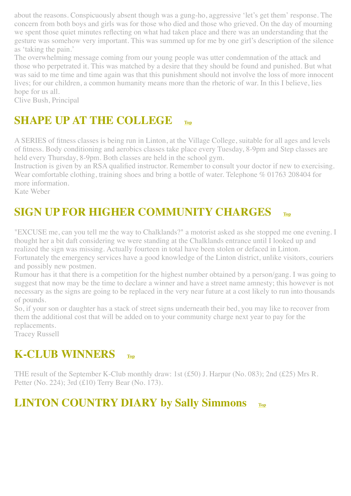about the reasons. Conspicuously absent though was a gung-ho, aggressive 'let's get them' response. The concern from both boys and girls was for those who died and those who grieved. On the day of mourning we spent those quiet minutes reflecting on what had taken place and there was an understanding that the gesture was somehow very important. This was summed up for me by one girl's description of the silence as 'taking the pain.'

The overwhelming message coming from our young people was utter condemnation of the attack and those who perpetrated it. This was matched by a desire that they should be found and punished. But what was said to me time and time again was that this punishment should not involve the loss of more innocent lives; for our children, a common humanity means more than the rhetoric of war. In this I believe, lies hope for us all.

Clive Bush, Principal

## <span id="page-11-0"></span>**SHAPE UP AT THE COLLEGE [Top](#page-0-1)**

A SERIES of fitness classes is being run in Linton, at the Village College, suitable for all ages and levels of fitness. Body conditioning and aerobics classes take place every Tuesday, 8-9pm and Step classes are held every Thursday, 8-9pm. Both classes are held in the school gym.

Instruction is given by an RSA qualified instructor. Remember to consult your doctor if new to exercising. Wear comfortable clothing, training shoes and bring a bottle of water. Telephone % 01763 208404 for more information.

Kate Weber

# <span id="page-11-1"></span>**SIGN UP FOR HIGHER COMMUNITY CHARGES [Top](#page-0-1)**

"EXCUSE me, can you tell me the way to Chalklands?" a motorist asked as she stopped me one evening. I thought her a bit daft considering we were standing at the Chalklands entrance until I looked up and realized the sign was missing. Actually fourteen in total have been stolen or defaced in Linton.

Fortunately the emergency services have a good knowledge of the Linton district, unlike visitors, couriers and possibly new postmen.

Rumour has it that there is a competition for the highest number obtained by a person/gang. I was going to suggest that now may be the time to declare a winner and have a street name amnesty; this however is not necessary as the signs are going to be replaced in the very near future at a cost likely to run into thousands of pounds.

So, if your son or daughter has a stack of street signs underneath their bed, you may like to recover from them the additional cost that will be added on to your community charge next year to pay for the replacements.

Tracey Russell

### <span id="page-11-2"></span>**K-CLUB WINNERS [Top](#page-0-1)**

THE result of the September K-Club monthly draw: 1st (£50) J. Harpur (No. 083); 2nd (£25) Mrs R. Petter (No. 224); 3rd (£10) Terry Bear (No. 173).

# <span id="page-11-3"></span>**LINTON COUNTRY DIARY by Sally Simmons [Top](#page-0-1)**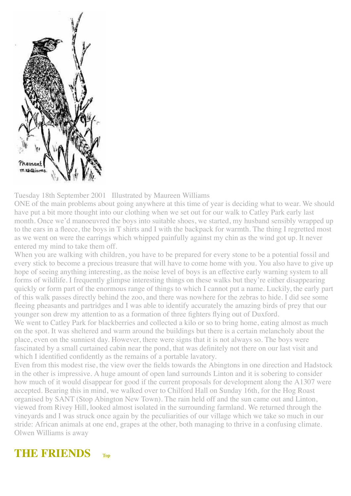

Tuesday 18th September 2001 Illustrated by Maureen Williams

ONE of the main problems about going anywhere at this time of year is deciding what to wear. We should have put a bit more thought into our clothing when we set out for our walk to Catley Park early last month. Once we'd manoeuvred the boys into suitable shoes, we started, my husband sensibly wrapped up to the ears in a fleece, the boys in T shirts and I with the backpack for warmth. The thing I regretted most as we went on were the earrings which whipped painfully against my chin as the wind got up. It never entered my mind to take them off.

When you are walking with children, you have to be prepared for every stone to be a potential fossil and every stick to become a precious treasure that will have to come home with you. You also have to give up hope of seeing anything interesting, as the noise level of boys is an effective early warning system to all forms of wildlife. I frequently glimpse interesting things on these walks but they're either disappearing quickly or form part of the enormous range of things to which I cannot put a name. Luckily, the early part of this walk passes directly behind the zoo, and there was nowhere for the zebras to hide. I did see some fleeing pheasants and partridges and I was able to identify accurately the amazing birds of prey that our younger son drew my attention to as a formation of three fighters flying out of Duxford.

We went to Catley Park for blackberries and collected a kilo or so to bring home, eating almost as much on the spot. It was sheltered and warm around the buildings but there is a certain melancholy about the place, even on the sunniest day. However, there were signs that it is not always so. The boys were fascinated by a small curtained cabin near the pond, that was definitely not there on our last visit and which I identified confidently as the remains of a portable lavatory.

Even from this modest rise, the view over the fields towards the Abingtons in one direction and Hadstock in the other is impressive. A huge amount of open land surrounds Linton and it is sobering to consider how much of it would disappear for good if the current proposals for development along the A1307 were accepted. Bearing this in mind, we walked over to Chilford Hall on Sunday 16th, for the Hog Roast organised by SANT (Stop Abington New Town). The rain held off and the sun came out and Linton, viewed from Rivey Hill, looked almost isolated in the surrounding farmland. We returned through the vineyards and I was struck once again by the peculiarities of our village which we take so much in our stride: African animals at one end, grapes at the other, both managing to thrive in a confusing climate. Olwen Williams is away

<span id="page-12-0"></span>